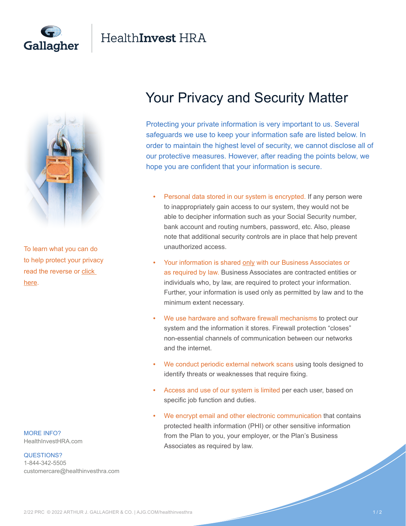

## Health**Invest** HRA



To learn what you can do to help protect your privacy read the reverse or [click](https://healthinvesthra.com/)  [here.](https://healthinvesthra.com/)

MORE INFO? [HealthInvestHRA.com](https://www.healthinvesthra.com/)

## QUESTIONS?

1-844-342-5505 [customercare@healthinvesthra.com](mailto:customercare@healthinvesthra.com)

## Your Privacy and Security Matter

Protecting your private information is very important to us. Several safeguards we use to keep your information safe are listed below. In order to maintain the highest level of security, we cannot disclose all of our protective measures. However, after reading the points below, we hope you are confident that your information is secure.

- Personal data stored in our system is encrypted. If any person were to inappropriately gain access to our system, they would not be able to decipher information such as your Social Security number, bank account and routing numbers, password, etc. Also, please note that additional security controls are in place that help prevent unauthorized access.
- Your information is shared only with our Business Associates or as required by law. Business Associates are contracted entities or individuals who, by law, are required to protect your information. Further, your information is used only as permitted by law and to the minimum extent necessary.
- We use hardware and software firewall mechanisms to protect our system and the information it stores. Firewall protection "closes" non-essential channels of communication between our networks and the internet.
- We conduct periodic external network scans using tools designed to identify threats or weaknesses that require fixing.
- Access and use of our system is limited per each user, based on specific job function and duties.
- We encrypt email and other electronic communication that contains protected health information (PHI) or other sensitive information from the Plan to you, your employer, or the Plan's Business Associates as required by law.